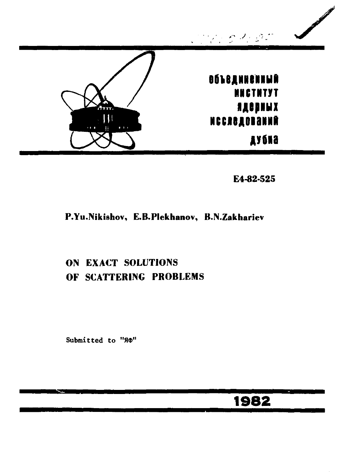

E4-82-525

### P.Yu.Nikishov, E.B.Plekhanov, B.N.Zakhariev

## ON EXACT SOLUTIONS OF SCATTERING PROBLEMS

Submitted to "ЯФ"

# 1982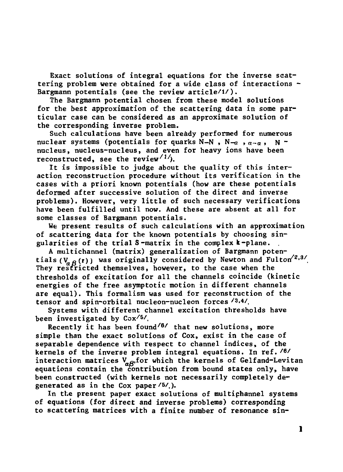**Exact solutions of integral equations for the inverse scattering problem were obtained for a wide class of interactions - Bargmann potentials (see the review article/1/).** 

**The Bargmann potential chosen from these model solutions for the best approximation of the scattering data in some particular case can be considered as an approximate solution of the corresponding inverse problem.** 

**Such calculations have been already performed for numerous**  nuclear systems (potentials for quarks N-N, N-a,  $a-a$ , N**nucleus, nucleus-nucleus, and even for heavy ions have been reconstructed, see the review'1'').** 

**It is impossible to judge about the quality of this interaction reconstruction procedure without its verification in the cases with a priori known potentials (how are these potentials deformed after successive solution of the direct and inverse problems). However, very little of such necessary verifications have been fulfilled until now. And these are absent at all for some classes of Bargmann potentials.** 

**We present results of such calculations with an approximation of scattering data for the known potentials by choosing singularities of the trial S-matrix in the complex к-plane.** 

**A multichannel (matrix) generalization of Bargmann poten**tials ( $V_{q, \beta}$ (r)) was originally considered by Newton and Fulton<sup> $\frac{2}{3}$ </sup> **They restricted themselves, however, to the case when the thresholds of excitation for all the channels coincide (kinetic energies of the free asymptotic motion in different channels are equal). This formalism was used for reconstruction of the tensor and spin-orbital nucleon-nucleon forces /3,4/.** 

**Systems with different channel excitation thresholds have been investigated by Cox/5/ .** 

**Recently it has been found/ 6 / that new solutions, more simple than the exact solutions of Cox, exist in the case of separable dependence with respect to channel indices, of the kernels of the inverse problem integral equations. In ref.**  */e /*  **interaction matrices VQg,for which the kernels of Gelfand-Levitan equations contain the contribution from bound states only, have been constructed (with kernels not necessarily completely degenerated as in the Cox paper/5/).** 

**In the present paper exact solutions of multiphannel systems of equations (for direct and inverse problems) corresponding to scattering matrices with a finite number of resonance sin-**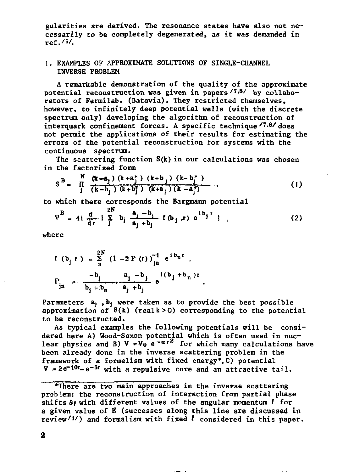**gularities are derived. The resonance states have also not necessarily to be completely degenerated, as it was demanded in ref.'s/.** 

#### **1. EXAMPLES OF APPROXIMATE SOLUTIONS OF SINGLE-CHANNEL INVERSE PROBLEM**

**A remarkable demonstration of the quality of the approximate potential reconstruction was given in papers '7,8/ ^y collaborators of Fermilab. (Batavia). They restricted themselves, however, to infinitely deep potential wells (with the discrete spectrum only) developing the algorithm of reconstruction of interquark confinement forces. A specific technique/ 7 - 8 / does not permit the applications of their results for estimating the errors of the potential reconstruction for systems with the continuous spectrum.** 

**The scattering function S(k) in our calculations was chosen in the factorized form** 

$$
S^{B} = \prod_{j}^{N} \frac{(\mathbf{k} - \mathbf{a}_{j}) (k + a_{j}^{*}) (k + b_{j}) (k - b_{j}^{*})}{(k - b_{j}) (k + b_{j}^{*}) (k + a_{j}) (k - a_{j}^{*})}, \qquad (1)
$$

**to which there corresponds the Bargmann potential** 

$$
V^B = 4i \frac{d}{dr} \left\{ \sum_{j}^{2N} b_j \frac{a_j - b_j}{a_j + b_j} \cdot f(b_j, r) e^{ib_j r} \right\},
$$
 (2)

**where** 

$$
f (b_{j} r) = \sum_{n=1}^{2N} (1 - 2 P (r))_{jn}^{-1} e^{ib_{n}r} ,
$$
  

$$
P_{jn} = \frac{-b_{j}}{b_{j} + b_{n}} \frac{a_{j} - b_{j}}{a_{j} + b_{j}} e^{i(b_{j} + b_{n})r}
$$

Parameters  $a_i$ ,  $b_i$  were taken as to provide the best possible **approximation of S(k) (realk>0) corresponding to the potential to be reconstructed.** 

**As typical examples the following potentials will be considered here A) Wood-Saxon potential which is often used in nuclear physics and B)**  $V = V_0 e^{-\alpha t^2}$  for which many calculations have **been already done in the inverse scattering problem in the framework of a formalism with fixed energy\*.C) potential**   $V = 2e^{-10t} - e^{-5t}$  with a repulsive core and an attractive tail.

**<sup>&</sup>quot;"There are two main approaches in the inverse scattering problem: the reconstruction of interaction from partial phase**   $shifts \delta\rho$  with different values of the angular momentum  $\ell$  for **a given value of E (successes along this line are discussed in review'l') and formalism with fixed** *I* **considered in this paper.**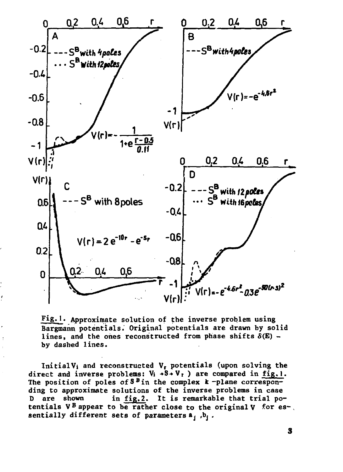

Fig.1. Approximate solution of the inverse problem using **Bargmann potentials. Original potentials are drawn by solid**  lines, and the ones reconstructed from phase shifts  $\delta(E)$  **by dashed lines.** 

**InitialVi and reconstructed Vr potentials (upon solving the**  direct and inverse problems:  $V_i \rightarrow S \rightarrow V_i$  are compared in fig.1. The position of poles of  $S^B$  in the complex  $k$ -plane correspon**ding to approximate solutions of the inverse problems in case D are shown in fig.2. It is remarkable that trial potentials V <sup>B</sup> appear to be rather close to the original V for es-, sentially different sets of parameters a, ,b, .**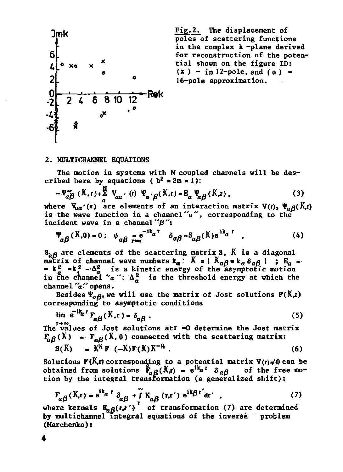

**poles of scattering functions in the complex к -plane derived for reconstruction of the potential shown on the figure ID:**   $(x) - in 12$ -pole, and ( $0$ ) -**16-pole approximation.** 

#### **2. MULTICHANNEL EQUATIONS**

**The motion in systems with N coupled channels will be des**cribed here by equations ( $h^2 \approx 2m \approx 1$ ):

$$
-\Psi_{\alpha\beta}^{\prime\prime}\left(\mathbf{K},\mathbf{r}\right)+\frac{\mathbf{R}}{a}\mathbf{V}_{\alpha\alpha^{\prime}}\left(\mathbf{r}\right)\Psi_{\alpha^{\prime}\beta}(\mathbf{K},\mathbf{r})=\mathbf{E}_{\alpha}\Psi_{\alpha\beta}(\mathbf{K},\mathbf{r})\,,\tag{3}
$$

where  $V_{aa'}(r)$  are elements of an interaction matrix  $V(r)$ ,  $\Psi_{a} \rho(K,r)$ is the wave function in a channel "a", corresponding to the incident wave in a channel" $\beta$ ":

$$
\Psi_{\alpha\beta}(K,0) = 0; \quad \psi_{\alpha\beta} = e^{-i\mathbf{k}_{\alpha}t} \quad \delta_{\alpha\beta} - \delta_{\alpha\beta}(K) e^{-i\mathbf{k}_{\alpha}t} \quad . \tag{4}
$$

**<sup>S</sup>afl ar <sup>e</sup> elements of the scattering matrixS, К is a diagonal matrix of channel wave numbers**  $\mathbf{k}_a$ **:**  $K = \{K_{aB} * \mathbf{k}_a \delta_{aB}\}$ ;  $\mathbf{E}_a = \{K_{aB} * \delta_{aB}\}$  $\mathbf{v} \times \mathbf{v} = \mathbf{k}^2 - \Delta_d^2$  **is a kinetic energy of the asymptotic motion** in the channel " $a$ ";  $\Delta_a^2$  is the threshold energy at which the **channe 1** *"a "* **opens.** 

Besides  $\Psi_{\alpha\beta}$ , we will use the matrix of Jost solutions  $F(K,t)$ **corresponding to asymptotic conditions** 

$$
\lim_{\epsilon} e^{-ik_{\alpha}t} \mathbf{F}_{\alpha\beta}(K, t) = \delta_{\alpha\beta} \tag{5}
$$

The values of Jost solutions at<sup>t</sup> =0 determine the Jost matrix  $\mathbf{F}_{\alpha\beta}(\mathbf{X}) = \mathbf{F}_{\alpha\beta}(\mathbf{X}, \mathbf{0})$  connected with the scattering matrix:  $S(K) = K^{\frac{1}{2}}F(-K)F(K)K^{-\frac{1}{2}}$  (6)

Solutions  $F(K,r)$  corresponding to a potential matrix  $V(r) \neq 0$  can be obtained from solutions  $\mathbf{F}_{\alpha\beta}(\mathbf{K}\mathbf{r}) = e^{i\mathbf{k}_{\alpha}\mathbf{r}} \delta_{\alpha\beta}$  of the free mo**tion by the integral transformation (a generalized shift):** 

$$
F_{\alpha\beta}(K,r) = e^{ik_{\alpha}r} \delta_{\alpha\beta} + \int_{r}^{\infty} K_{\alpha\beta}(r,r') e^{ik_{\beta}r'} dr' \qquad (7)
$$

**where kernels**  $K_{\alpha\beta}(r,r')$  of transformation (7) are determined **by multichannel integral equations of the inverse** *'* **problem (Marchenko):**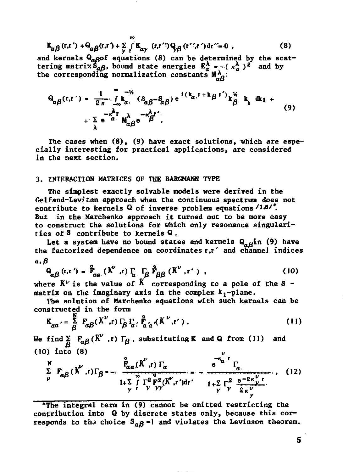$$
K_{\alpha\beta}(r,r') + \Theta_{\alpha\beta}(r,r') + \sum_{y} \int_{r}^{r} K_{\alpha y}(r,r'')\Theta_{\beta\beta}(r'\cdot r') dr'' = 0
$$
 (8)

and kernels  $Q_{\alpha\beta}$  equations (8) can be determined by the scattering matrix  $S_{\alpha\beta}$ , bound state energies  $E_{\alpha}^{\lambda}$  = -( $\kappa_{\alpha}^{\lambda}$ )<sup>2</sup> and by the corresponding normalization constants  $M_{\alpha\beta}^{\lambda}$ :

$$
Q_{\alpha\beta}(r,r') = \frac{1}{2\pi} \int_{\alpha}^{\infty} k_{\alpha}^{2\pi} (\delta_{\alpha\beta} - \delta_{\alpha\beta}) e^{i(k_{\alpha}r + k_{\beta}r')} k_{\beta}^{2\pi} k_{i} dx_{1} + \sum_{\lambda} e^{-\alpha} \int_{\alpha}^{\lambda} k_{\alpha\beta} e^{-\beta} \delta^{r'}.
$$
 (9)

The cases when (8), (9) have exact solutions, which are especially interesting for practical applications, are considered in the next section.

#### 3. INTERACTION MATRICES OF THE BARGMANN TYPE

The simplest exactly solvable models were derived in the Gelfand-Levitan approach when the continuous spectrum does not contribute to kernels Q of inverse problem equations (1.0/". But in the Marchenko approach it turned out to be more easy to construct the solutions for which only resonance singularities of 8 contribute to kernels Q.

Let a system have no bound states and kernels  $Q_{\alpha\beta}$ in (9) have the factorized dependence on coordinates r.r' and channel indices a. B

$$
\mathbf{Q}_{\alpha\beta}(\mathbf{r}, \mathbf{r}') = \mathbf{F}_{\alpha\alpha}(\mathbf{K}^{\nu}, \mathbf{r}) \mathbf{I}_{\alpha} \mathbf{I}_{\beta} \mathbf{F}_{\beta\beta}(\mathbf{K}^{\nu}, \mathbf{r}'),
$$
 (10)

where  $K^{\nu}$  is the value of  $K$  corresponding to a pole of the S matrix on the imaginary axis in the complex  $k_1$ -plane.

The solution of Marchenko equations with such kernels can be constructed in the form

$$
\mathbf{K}_{aa'} = \frac{\mathbf{S}}{\beta} \mathbf{F}_{a\beta} (K^{\nu}, \mathbf{r}) \mathbf{F}_{\beta} \mathbf{F}_{a'} \mathbf{F}_{a'a}^{\mathbf{F}} (K^{\nu}, \mathbf{r}'). \qquad (11)
$$

We find  $\sum_{\beta} F_{\alpha\beta} (K^{\nu}, r) \Gamma_{\beta}$ , substituting K and Q from (11) and  $(10)$  into  $(8)$ 

$$
\sum_{\rho}^{N} F_{\alpha\beta}(K', r) \Gamma_{\beta} = \frac{F_{\alpha\alpha}(K', r) \Gamma_{\alpha}}{1 + \sum_{\gamma}^{2} \Gamma_{\gamma}^{2} F_{\gamma}^{2} (K', r') dr'} = -\frac{e^{-\kappa_{\alpha} r} \Gamma_{\alpha}}{1 + \sum_{\gamma}^{2} \Gamma_{\gamma}^{2} F_{\gamma}^{2} (K', r') dr'} \tag{12}
$$

\*The integral term in (9) cannot be omitted restricting the contribution into Q by discrete states only, because this corresponds to the choice  $S_{\alpha\beta}$ =1 and violates the Levinson theorem.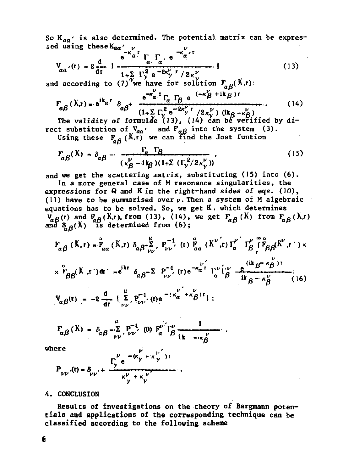So  $K_{aa'}$  is also determined. The potential matrix can be expressed using these  $K_{\alpha\alpha}$ '  $\nu$  $\mathcal{V}$ 

$$
V_{\alpha\alpha'}(t) = 2 \frac{d}{dt} \left\{ \frac{e^{-\kappa_{\alpha}t} \Gamma_{\alpha} \Gamma_{\alpha}}{1 + \sum_{i} \Gamma_{\gamma}^2 e^{-2\kappa_{\gamma}^2 t} / 2\kappa_{\gamma}^2} \right\}
$$
(13)

and according to (7)<sup>''</sup>we have for solution  $F_{\alpha\beta}(X,t)$ :

$$
F_{\alpha\beta}(K,r) = e^{ik_{\alpha}r} \delta_{\alpha\beta} + \frac{e^{-k_{\alpha}r} \Gamma_{\alpha} \Gamma_{\beta} e^{-(k_{\beta}r+ik_{\beta})r}}{(1+\sum_{i} \Gamma_{\gamma}^{2} e^{-2k_{\gamma}r} \Gamma_{i}^{2} \kappa_{\gamma}^{2}}) (ik_{\beta} - \kappa_{\beta}^{2})}
$$
(14)

The validity of formulae (13), (14) can be verified by direct substitution of  $V_{aa'}$  and  $F_{a\beta}$  into the system (3).<br>Using these  $F_{a\beta}$  (X,r) we can find the Jost funtion

$$
F_{\alpha\beta}(K) = \delta_{\alpha\beta} - \frac{\Gamma_{\alpha} \Gamma_{\beta}}{(\kappa_{\beta}^{\nu} - i k_{\beta})(1+\Sigma_{\alpha}(\Gamma_{\gamma}^{2}/2\kappa_{\gamma}^{\nu}))},
$$
\n(15)

and we get the scattering matrix, substituting (15) into (6).

In a more general case of M resonance singularities, the expressions for  $Q$  and  $K$  in the right-hand sides of eqs. (10), (11) have to be summarised over  $\nu$ . Then a system of M algebraic equations has to be solved. So, we get K, which determines  $V_{\alpha\beta}$ (r) and  $F_{\alpha\beta}$ (K,r), from (13), (14), we get  $F_{\alpha\beta}$ (K) from  $F_{\alpha\beta}$ (K,r)<br>and  $S_{\alpha\beta}$ (K) is determined from (6);

$$
F_{\alpha\beta}(K, r) = F_{\alpha\alpha}(K, r) \delta_{\alpha\beta} + \sum_{\nu\nu}^{\mu} F_{\nu\nu}^{-1}(r) F_{\alpha\alpha}(K^{\nu}, r) \Gamma_{\alpha}^{\nu} \Gamma_{\beta}^{\nu} \Gamma_{\beta\beta}^{\mu} (K^{\nu}, r') \times
$$
  
\n
$$
\times F_{\beta\beta}(K, r') dr' = e^{ikr} \delta_{\alpha\beta} - \sum P_{\nu\nu}^{-1}(r) e^{-\kappa_{\alpha}^{\nu} r} \Gamma_{\alpha}^{\nu} \Gamma_{\beta}^{\nu} \frac{e^{(ik\beta - \kappa_{\beta}^{\nu})T}}{ik\beta - \kappa_{\beta}^{\nu}} \cdot
$$
  
\n
$$
V_{\alpha\beta}(r) = -2 \frac{d}{dr} \{\sum_{\nu}^{\mu} F_{\nu\nu}^{-1}(r) e^{-(\kappa_{\alpha}^{\nu'} + \kappa_{\beta}^{\nu})T}\};
$$

$$
F_{\alpha\beta}(K) = \delta_{\alpha\beta} - \sum_{\nu\nu} F_{\nu\nu}^{-1} (0) F_{\alpha}^{\nu} I_{\beta}^{\nu} \underbrace{1}_{i,k \ -\kappa_{\beta}^{\nu}}.
$$

vhere

$$
P_{\nu\nu'}(t) = \delta_{\nu\nu'} + \frac{\Gamma_{\nu}^{\nu} e^{-(\kappa_{\gamma} + \kappa_{\gamma})t}}{\kappa_{\gamma}^{\nu} + \kappa_{\gamma}^{\nu}}
$$

#### 4. CONCLUSION

Results of investigations on the theory of Bargmann potentials and applications of the corresponding technique can be classified according to the following scheme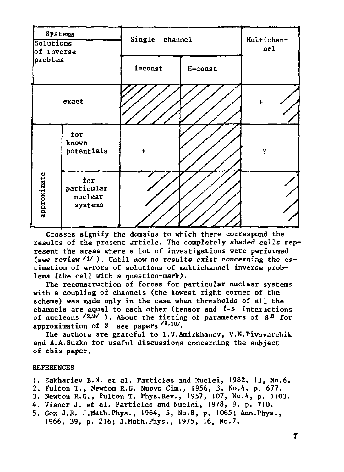

**Crosses signify the domains to which there correspond the results of the present article. The completely shaded cells represent the areas where a lot of investigations were performed (see review''1/ ). Until now no results exist concerning the estimation of errors of solutions of multichannel inverse problems (the cell with a question-mark).** 

**The reconstruction of forces for particular nuclear systems with a coupling of channels (the lowest right corner of the scheme) was made only in the case when thresholds of all the**  channels are equal to each other (tensor and  $l-s$  interactions **of nucleons /8.9/ ), About the fitting of parameters of S <sup>B</sup> for**  approximation of S see papers <sup>/9,10</sup>/.

**The authors are grateful to I.V.Amirkhanov, V.N.Pivovarchik and A.A.Suzko for useful discussions concerning the subject of this paper.** 

#### **REFERENCES**

- **1. Zakhariev B.N. et al. Particles and Nuclei, 1982, 13, No.6.**
- **2. Fulton Т., Newton R.G. Nuovo Cim., 1956, 3, No.4, p. 677.**
- **3. Newton R.G., Fulton T. Phys.Rev., 1957, 107, No.4, p. 1103.**
- **4. Visner J. et al. Particles and Nuclei, 1978, 9, p. 710.**
- **5. Cox J.R. J.Math.Phys., 1964, 5, No.8, p. 1065; Ann.Phys., 1966, 39, p. 216; J.Math.Phys., 1975, 16, No.7.**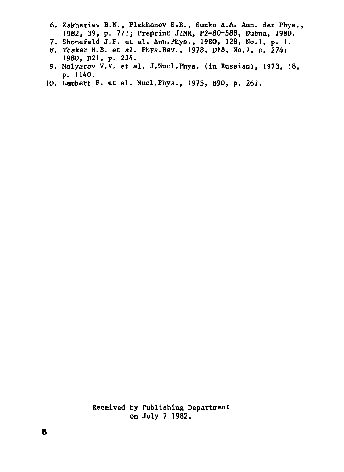- 6. Zakhariev B.N., Flekhanov E.B., Suzko A.A. Ann. der Fhys., 1982, 39, p. 771; Preprint JINR, P2-80-588, Dubna, 1980.
- 7. Shonefeld J.F. et al. Ann.Phys., 1980, 128, No.l, p. 1.
- 8. Thaker H.B. et al. Phys.Rev., 1978, DI8, No.l, p. 274; 1980, D21, p. 234.
- 9. Malyarov V.V. et al. J.Nucl.Phys. (in Russian), 1973, 18, p. 1140.
- 10. Lambert F. et al. Nucl.Phys., 1975, B90, p. 267.

**Received** by Publishing **Department on July 7 1982.**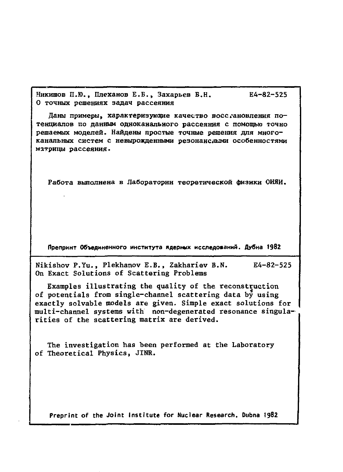Никишов П.Ю., Плеханов Е.Б., Захарьев Б.Н. Е4-82-525 **0 точных решениях задач рассеяния** 

Даны примеры, характеризующие качество восслановления потенциалов по данным одноканального рассеяния с помощью точно решаемых моделей. Найдены простые точные решения для много**канальны систе с невырожденным резонансным особенностями**  матрицы рассеяния.

Работа выполнена в Лаборатории теоретической физики ОИЯИ.

Препринт Объединенного института ядерных исследований. Дубна 1982

**Nikishov P.Yu., Plekhanov E.B., Zakhariev B.N. E4-82-525 On Exact Solutions of Scattering Problems** 

**Examples illustrating the quality of the reconstruction of potentials from single-channel scattering data by using exactly solvable models are given. Simple exact solutions for multi-channel systems with non-degenerated resonance singularities of the scattering matrix are derived.** 

**The investigation has been performed at the Laboratory of Theoretical Physics, JINR.** 

**Preprint of the Joint Institute for Nuclear Research. Dubna 1982**